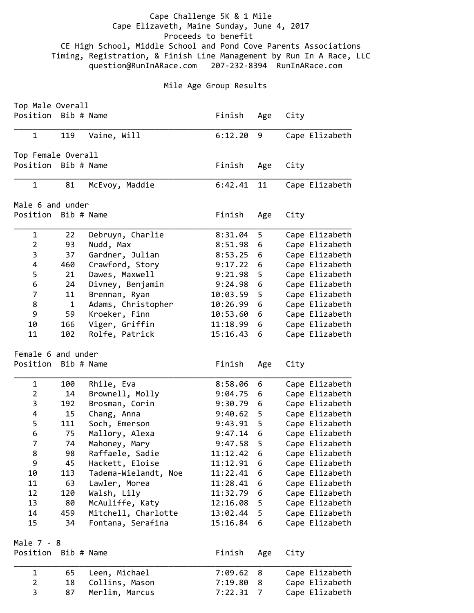## Cape Challenge 5K & 1 Mile Cape Elizaveth, Maine Sunday, June 4, 2017 Proceeds to benefit CE High School, Middle School and Pond Cove Parents Associations Timing, Registration, & Finish Line Management by Run In A Race, LLC question@RunInARace.com 207‐232‐8394 RunInARace.com

## Mile Age Group Results

| Cape Elizabeth<br>Cape Elizabeth |
|----------------------------------|
|                                  |
|                                  |
|                                  |
|                                  |
|                                  |
|                                  |
|                                  |
| Cape Elizabeth                   |
| Cape Elizabeth                   |
| Cape Elizabeth                   |
| Cape Elizabeth                   |
| Cape Elizabeth                   |
| Cape Elizabeth                   |
| Cape Elizabeth                   |
| Cape Elizabeth                   |
| Cape Elizabeth                   |
| Cape Elizabeth                   |
| Cape Elizabeth                   |
|                                  |
|                                  |
| Cape Elizabeth                   |
| Cape Elizabeth                   |
| Cape Elizabeth                   |
| Cape Elizabeth                   |
| Cape Elizabeth                   |
| Cape Elizabeth                   |
| Cape Elizabeth                   |
| Cape Elizabeth                   |
| Cape Elizabeth                   |
| Cape Elizabeth                   |
| Cape Elizabeth                   |
| Cape Elizabeth                   |
| Cape Elizabeth                   |
| Cape Elizabeth                   |
| Cape Elizabeth                   |
|                                  |
|                                  |
| Cape Elizabeth                   |
| Cape Elizabeth                   |
| Cape Elizabeth                   |
|                                  |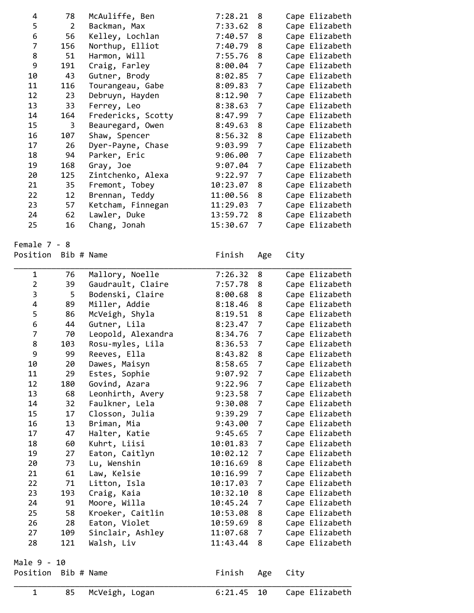| 4  | 78             | McAuliffe, Ben     | 7:28.21  | 8              | Cape Elizabeth |
|----|----------------|--------------------|----------|----------------|----------------|
| 5  | $\overline{2}$ | Backman, Max       | 7:33.62  | 8              | Cape Elizabeth |
| 6  | 56             | Kelley, Lochlan    | 7:40.57  | 8              | Cape Elizabeth |
| 7  | 156            | Northup, Elliot    | 7:40.79  | 8              | Cape Elizabeth |
| 8  | 51             | Harmon, Will       | 7:55.76  | 8              | Cape Elizabeth |
| 9  | 191            | Craig, Farley      | 8:00.04  | 7              | Cape Elizabeth |
| 10 | 43             | Gutner, Brody      | 8:02.85  | 7              | Cape Elizabeth |
| 11 | 116            | Tourangeau, Gabe   | 8:09.83  | 7              | Cape Elizabeth |
| 12 | 23             | Debruyn, Hayden    | 8:12.90  | 7              | Cape Elizabeth |
| 13 | 33             | Ferrey, Leo        | 8:38.63  | 7              | Cape Elizabeth |
| 14 | 164            | Fredericks, Scotty | 8:47.99  | 7              | Cape Elizabeth |
| 15 | 3              | Beauregard, Owen   | 8:49.63  | 8              | Cape Elizabeth |
| 16 | 107            | Shaw, Spencer      | 8:56.32  | 8              | Cape Elizabeth |
| 17 | 26             | Dyer-Payne, Chase  | 9:03.99  | 7              | Cape Elizabeth |
| 18 | 94             | Parker, Eric       | 9:06.00  | 7              | Cape Elizabeth |
| 19 | 168            | Gray, Joe          | 9:07.04  | 7              | Cape Elizabeth |
| 20 | 125            | Zintchenko, Alexa  | 9:22.97  | 7              | Cape Elizabeth |
| 21 | 35             | Fremont, Tobey     | 10:23.07 | 8              | Cape Elizabeth |
| 22 | 12             | Brennan, Teddy     | 11:00.56 | 8              | Cape Elizabeth |
| 23 | 57             | Ketcham, Finnegan  | 11:29.03 | 7              | Cape Elizabeth |
| 24 | 62             | Lawler, Duke       | 13:59.72 | 8              | Cape Elizabeth |
| 25 | 16             | Chang, Jonah       | 15:30.67 | $\overline{7}$ | Cape Elizabeth |

Female 7 ‐ 8

Position Bib # Name Finish Age City

| $\mathbf 1$    | 76         | Mallory, Noelle    | 7:26.32  | 8              | Cape Elizabeth |
|----------------|------------|--------------------|----------|----------------|----------------|
| $\overline{2}$ | 39         | Gaudrault, Claire  | 7:57.78  | 8              | Cape Elizabeth |
| 3              | 5          | Bodenski, Claire   | 8:00.68  | 8              | Cape Elizabeth |
| 4              | 89         | Miller, Addie      | 8:18.46  | 8              | Cape Elizabeth |
| 5              | 86         | McVeigh, Shyla     | 8:19.51  | 8              | Cape Elizabeth |
| 6              | 44         | Gutner, Lila       | 8:23.47  | $\overline{7}$ | Cape Elizabeth |
| $\overline{7}$ | 70         | Leopold, Alexandra | 8:34.76  | $\overline{7}$ | Cape Elizabeth |
| 8              | 103        | Rosu-myles, Lila   | 8:36.53  | $\overline{7}$ | Cape Elizabeth |
| 9              | 99         | Reeves, Ella       | 8:43.82  | 8              | Cape Elizabeth |
| 10             | 20         | Dawes, Maisyn      | 8:58.65  | $\overline{7}$ | Cape Elizabeth |
| 11             | 29         | Estes, Sophie      | 9:07.92  | $\overline{7}$ | Cape Elizabeth |
| 12             | 180        | Govind, Azara      | 9:22.96  | $\overline{7}$ | Cape Elizabeth |
| 13             | 68         | Leonhirth, Avery   | 9:23.58  | $\overline{7}$ | Cape Elizabeth |
| 14             | 32         | Faulkner, Lela     | 9:30.08  | $\overline{7}$ | Cape Elizabeth |
| 15             | 17         | Closson, Julia     | 9:39.29  | $\overline{7}$ | Cape Elizabeth |
| 16             | 13         | Briman, Mia        | 9:43.00  | $\overline{7}$ | Cape Elizabeth |
| 17             | 47         | Halter, Katie      | 9:45.65  | $\overline{7}$ | Cape Elizabeth |
| 18             | 60         | Kuhrt, Liisi       | 10:01.83 | $\overline{7}$ | Cape Elizabeth |
| 19             | 27         | Eaton, Caitlyn     | 10:02.12 | $\overline{7}$ | Cape Elizabeth |
| 20             | 73         | Lu, Wenshin        | 10:16.69 | 8              | Cape Elizabeth |
| 21             | 61         | Law, Kelsie        | 10:16.99 | $\overline{7}$ | Cape Elizabeth |
| 22             | 71         | Litton, Isla       | 10:17.03 | $\overline{7}$ | Cape Elizabeth |
| 23             | 193        | Craig, Kaia        | 10:32.10 | 8              | Cape Elizabeth |
| 24             | 91         | Moore, Willa       | 10:45.24 | $\overline{7}$ | Cape Elizabeth |
| 25             | 58         | Kroeker, Caitlin   | 10:53.08 | 8              | Cape Elizabeth |
| 26             | 28         | Eaton, Violet      | 10:59.69 | 8              | Cape Elizabeth |
| 27             | 109        | Sinclair, Ashley   | 11:07.68 | 7              | Cape Elizabeth |
| 28             | 121        | Walsh, Liv         | 11:43.44 | 8              | Cape Elizabeth |
|                |            |                    |          |                |                |
| Male 9 - 10    |            |                    |          |                |                |
| Position       | Bib # Name |                    | Finish   | Age            | City           |
| $\mathbf{1}$   | 85         | McVeigh, Logan     | 6:21.45  | 10             | Cape Elizabeth |
|                |            |                    |          |                |                |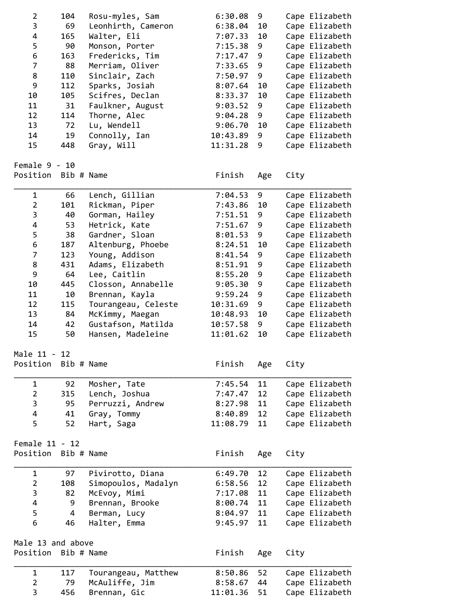| $\overline{2}$      | 104        | Rosu-myles, Sam     | 6:30.08  | 9   | Cape Elizabeth |
|---------------------|------------|---------------------|----------|-----|----------------|
| 3                   | 69         | Leonhirth, Cameron  | 6:38.04  | 10  | Cape Elizabeth |
| 4                   | 165        | Walter, Eli         | 7:07.33  | 10  | Cape Elizabeth |
| 5                   | 90         | Monson, Porter      | 7:15.38  | 9   | Cape Elizabeth |
| 6                   | 163        | Fredericks, Tim     | 7:17.47  | 9   | Cape Elizabeth |
| 7                   | 88         | Merriam, Oliver     | 7:33.65  | 9   | Cape Elizabeth |
| 8                   | 110        | Sinclair, Zach      | 7:50.97  | 9   | Cape Elizabeth |
| 9                   | 112        | Sparks, Josiah      | 8:07.64  | 10  | Cape Elizabeth |
| 10                  | 105        | Scifres, Declan     | 8:33.37  | 10  | Cape Elizabeth |
| 11                  | 31         | Faulkner, August    | 9:03.52  | 9   | Cape Elizabeth |
| 12                  | 114        | Thorne, Alec        | 9:04.28  | 9   | Cape Elizabeth |
| 13                  | 72         | Lu, Wendell         | 9:06.70  | 10  | Cape Elizabeth |
|                     | 19         |                     |          |     | Cape Elizabeth |
| 14                  |            | Connolly, Ian       | 10:43.89 | 9   |                |
| 15                  | 448        | Gray, Will          | 11:31.28 | 9   | Cape Elizabeth |
| Female 9 - 10       |            |                     |          |     |                |
| Position Bib # Name |            |                     | Finish   | Age | City           |
| $\mathbf{1}$        | 66         | Lench, Gillian      | 7:04.53  | 9   | Cape Elizabeth |
| $\overline{2}$      | 101        | Rickman, Piper      | 7:43.86  | 10  | Cape Elizabeth |
| 3                   | 40         | Gorman, Hailey      | 7:51.51  | 9   | Cape Elizabeth |
| 4                   | 53         | Hetrick, Kate       | 7:51.67  | 9   | Cape Elizabeth |
| 5                   | 38         | Gardner, Sloan      | 8:01.53  | 9   | Cape Elizabeth |
| 6                   | 187        | Altenburg, Phoebe   | 8:24.51  | 10  | Cape Elizabeth |
| $\overline{7}$      | 123        | Young, Addison      | 8:41.54  | 9   | Cape Elizabeth |
| 8                   | 431        | Adams, Elizabeth    | 8:51.91  | 9   | Cape Elizabeth |
| 9                   | 64         | Lee, Caitlin        | 8:55.20  | 9   | Cape Elizabeth |
| 10                  | 445        | Closson, Annabelle  | 9:05.30  | 9   | Cape Elizabeth |
| 11                  | 10         | Brennan, Kayla      | 9:59.24  | 9   | Cape Elizabeth |
| 12                  | 115        | Tourangeau, Celeste | 10:31.69 | 9   | Cape Elizabeth |
| 13                  | 84         | McKimmy, Maegan     | 10:48.93 | 10  | Cape Elizabeth |
| 14                  | 42         | Gustafson, Matilda  | 10:57.58 | 9   | Cape Elizabeth |
| 15                  | 50         | Hansen, Madeleine   | 11:01.62 | 10  | Cape Elizabeth |
|                     |            |                     |          |     |                |
| Male 11 - 12        |            |                     |          |     |                |
| Position            | Bib # Name |                     | Finish   | Age | City           |
| 1                   | 92         | Mosher, Tate        | 7:45.54  | 11  | Cape Elizabeth |
| $\overline{2}$      | 315        | Lench, Joshua       | 7:47.47  | 12  | Cape Elizabeth |
| 3                   | 95         | Perruzzi, Andrew    | 8:27.98  | 11  | Cape Elizabeth |
| 4                   | 41         | Gray, Tommy         | 8:40.89  | 12  | Cape Elizabeth |
| 5                   | 52         | Hart, Saga          | 11:08.79 | 11  | Cape Elizabeth |
| Female 11 - 12      |            |                     |          |     |                |
| Position            | Bib # Name |                     | Finish   | Age | City           |
|                     |            |                     |          |     |                |
| $\mathbf 1$         | 97         | Pivirotto, Diana    | 6:49.70  | 12  | Cape Elizabeth |
| $\overline{2}$      | 108        | Simopoulos, Madalyn | 6:58.56  | 12  | Cape Elizabeth |
| 3                   | 82         | McEvoy, Mimi        | 7:17.08  | 11  | Cape Elizabeth |
| 4                   | 9          | Brennan, Brooke     | 8:00.74  | 11  | Cape Elizabeth |
| 5                   | 4          | Berman, Lucy        | 8:04.97  | 11  | Cape Elizabeth |
| 6                   | 46         | Halter, Emma        | 9:45.97  | 11  | Cape Elizabeth |
| Male 13 and above   |            |                     |          |     |                |
| Position Bib # Name |            |                     | Finish   | Age | City           |
|                     |            |                     |          |     |                |
| 1                   | 117        | Tourangeau, Matthew | 8:50.86  | 52  | Cape Elizabeth |
| $\overline{2}$      | 79         | McAuliffe, Jim      | 8:58.67  | 44  | Cape Elizabeth |
| 3                   | 456        | Brennan, Gic        | 11:01.36 | 51  | Cape Elizabeth |